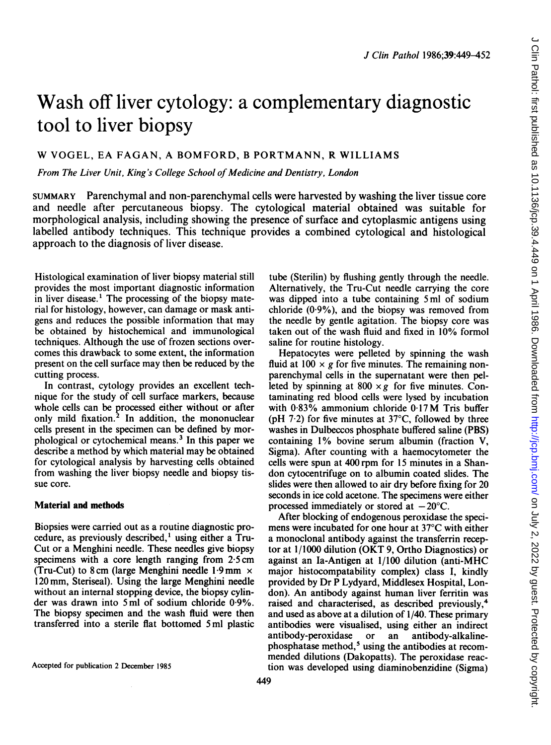# Wash off liver cytology: a complementary diagnostic tool to liver biopsy

## W VOGEL, EA FAGAN, A BOMFORD, <sup>B</sup> PORTMANN, R WILLIAMS

From The Liver Unit, King's College School of Medicine and Dentistry, London

SUMMARY Parenchymal and non-parenchymal cells were harvested by washing the liver tissue core and needle after percutaneous biopsy. The cytological material obtained was suitable for morphological analysis, including showing the presence of surface and cytoplasmic antigens using labelled antibody techniques. This technique provides a combined cytological and histological approach to the diagnosis of liver disease.

Histological examination of liver biopsy material still provides the most important diagnostic information in liver disease.' The processing of the biopsy material for histology, however, can damage or mask antigens and reduces the possible information that may be obtained by histochemical and immunological techniques. Although the use of frozen sections overcomes this drawback to some extent, the information present on the cell surface may then be reduced by the cutting process.

In contrast, cytology provides an excellent technique for the study of cell surface markers, because whole cells can be processed either without or after only mild fixation.<sup>2</sup> In addition, the mononuclear cells present in the specimen can be defined by morphological or cytochemical means.3 In this paper we describe a method by which material may be obtained for cytological analysis by harvesting cells obtained from washing the liver biopsy needle and biopsy tissue core.

#### Material and methods

Biopsies were carried out as a routine diagnostic procedure, as previously described,' using either a Tru-Cut or a Menghini needle. These needles give biopsy specimens with a core length ranging from 2-5 cm (Tru-Cut) to 8 cm (large Menghini needle 1.9 mm  $\times$ 120 mm, Steriseal). Using the large Menghini needle without an internal stopping device, the biopsy cylinder was drawn into <sup>5</sup> ml of sodium chloride 0 9%. The biopsy specimen and the wash fluid were then transferred into a sterile flat bottomed 5 ml plastic tube (Sterilin) by flushing gently through the needle. Alternatively, the Tru-Cut needle carrying the core was dipped into a tube containing 5 ml of sodium chloride  $(0.9\%)$ , and the biopsy was removed from the needle by gentle agitation. The biopsy core was taken out of the wash fluid and fixed in 10% formol saline for routine histology.

Hepatocytes were pelleted by spinning the wash fluid at  $100 \times g$  for five minutes. The remaining nonparenchymal cells in the supernatant were then pelleted by spinning at  $800 \times g$  for five minutes. Contaminating red blood cells were lysed by incubation with 0-83% ammonium chloride 0-17M Tris buffer (pH  $7.2$ ) for five minutes at  $37^{\circ}$ C, followed by three washes in Dulbeccos phosphate buffered saline (PBS) containing 1% bovine serum albumin (fraction V, Sigma). After counting with a haemocytometer the cells were spun at 400 rpm for 15 minutes in a Shandon cytocentrifuge on to albumin coated slides. The slides were then allowed to air dry before fixing for 20 seconds in ice cold acetone. The specimens were either processed immediately or stored at  $-20^{\circ}$ C.

After blocking of endogenous peroxidase the specimens were incubated for one hour at 37°C with either <sup>a</sup> monoclonal antibody against the transferrin receptor at 1/1000 dilution (OKT 9, Ortho Diagnostics) or against an Ia-Antigen at 1/100 dilution (anti-MHC major histocompatability complex) class I, kindly provided by Dr P Lydyard, Middlesex Hospital, London). An antibody against human liver ferritin was raised and characterised, as described previously,4 and used as above at a dilution of 1/40. These primary antibodies were visualised, using either an indirect antibody-peroxidase or an antibody-alkalinephosphatase method,<sup>5</sup> using the antibodies at recommended dilutions (Dakopatts). The peroxidase reaction was developed using diaminobenzidine (Sigma)

Accepted for publication 2 December 1985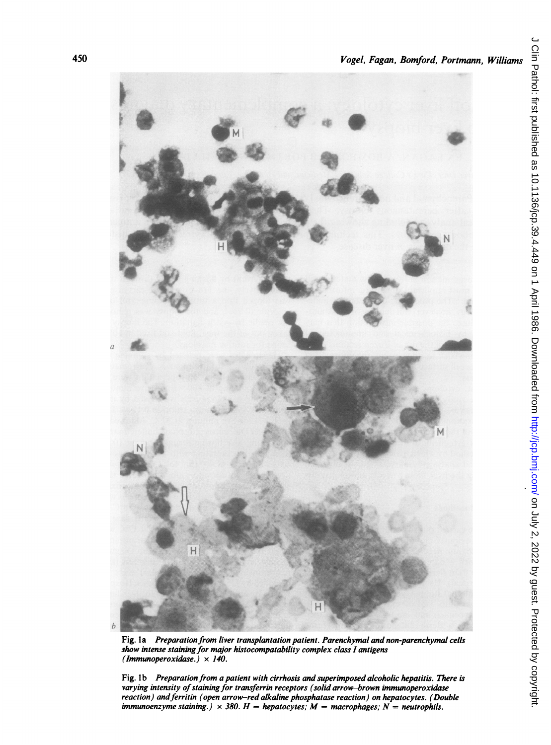

Fig. <sup>I</sup>a Preparation from liver transplantation patient. Parenchymal and non-parenchymal cells show intense staining for major histocompatability complex class <sup>I</sup> antigens (Immunoperoxidase.)  $\times$  140.

Fig. 1b Preparation from a patient with cirrhosis and superimposed alcoholic hepatitis. There is varying intensity of staining for transferrin receptors (solid arrow-brown immunoperoxidase reaction) and ferritin (open arrow-red alkaline phosphatase reaction) on hepatocytes. (Double immunoenzyme staining.)  $\times$  380. H = hepatocytes; M = macrophages; N = neutrophils.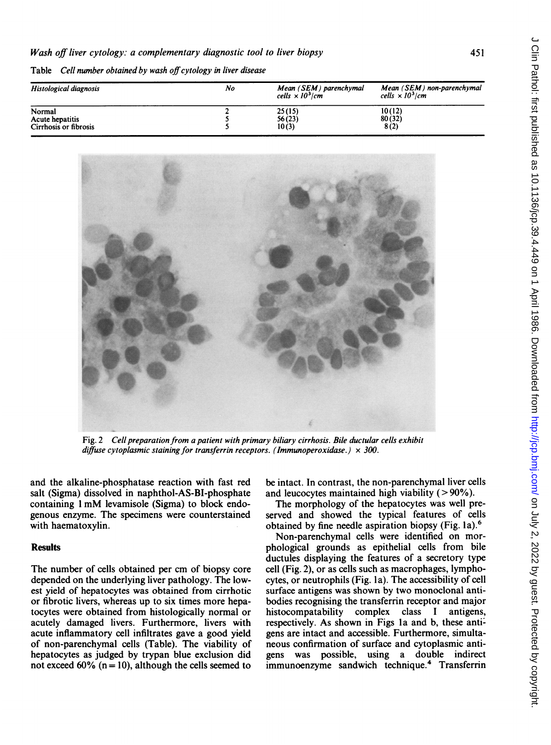Table Cell number obtained by wash off cytology in liver disease

| No | Mean (SEM) parenchymal<br>cells $\times 10^3$ /cm | Mean (SEM) non-parenchymal<br>cells $\times 10^3$ /cm |
|----|---------------------------------------------------|-------------------------------------------------------|
|    | 25(15)                                            | 10(12)                                                |
|    | 56(23)<br>10(3)                                   | 80(32)<br>8(2)                                        |
|    |                                                   |                                                       |



Fig. 2 Cell preparation from a patient with primary biliary cirrhosis. Bile ductular cells exhibit diffuse cytoplasmic staining for transferrin receptors. (Immunoperoxidase.)  $\times$  300.

and the alkaline-phosphatase reaction with fast red salt (Sigma) dissolved in naphthol-AS-BI-phosphate containing <sup>I</sup> mM levamisole (Sigma) to block endogenous enzyme. The specimens were counterstained with haematoxylin.

#### **Results**

The number of cells obtained per cm of biopsy core depended on the underlying liver pathology. The lowest yield of hepatocytes was obtained from cirrhotic or fibrotic livers, whereas up to six times more hepatocytes were obtained from histologically normal or acutely damaged livers. Furthermore, livers with acute inflammatory cell infiltrates gave a good yield of non-parenchymal cells (Table). The viability of hepatocytes as judged by trypan blue exclusion did not exceed  $60\%$  (n = 10), although the cells seemed to

be intact. In contrast, the non-parenchymal liver cells and leucocytes maintained high viability  $(>90\%)$ .

The morphology of the hepatocytes was well preserved and showed the typical features of cells obtained by fine needle aspiration biopsy (Fig. la).6

Non-parenchymal cells were identified on morphological grounds as epithelial cells from bile ductules displaying the features of a secretory type cell (Fig. 2), or as cells such as macrophages, lymphocytes, or neutrophils (Fig. 1a). The accessibility of cell surface antigens was shown by two monoclonal antibodies recognising the transferrin receptor and major histocompatability complex class <sup>I</sup> antigens, respectively. As shown in Figs la and b, these anti: gens are intact and accessible. Furthermore, simultaneous confirmation of surface and cytoplasmic antigens was possible, using a double indirect immunoenzyme sandwich technique.4 Transferrin